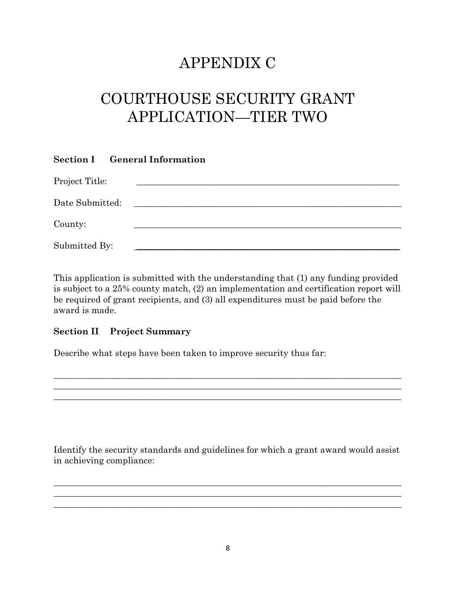## APPENDIX C

# COURTHOUSE SECURITY GRANT APPLICATION—TIER TWO

|                 | <b>Section I</b> General Information |
|-----------------|--------------------------------------|
| Project Title:  |                                      |
| Date Submitted: |                                      |
| County:         |                                      |
| Submitted By:   |                                      |

This application is submitted with the understanding that (1) any funding provided is subject to a 25% county match, (2) an implementation and certification report will be required of grant recipients, and (3) all expenditures must be paid before the award is made.

\_\_\_\_\_\_\_\_\_\_\_\_\_\_\_\_\_\_\_\_\_\_\_\_\_\_\_\_\_\_\_\_\_\_\_\_\_\_\_\_\_\_\_\_\_\_\_\_\_\_\_\_\_\_\_\_\_\_\_\_\_\_\_\_\_\_\_\_\_\_\_\_\_\_\_\_\_\_ \_\_\_\_\_\_\_\_\_\_\_\_\_\_\_\_\_\_\_\_\_\_\_\_\_\_\_\_\_\_\_\_\_\_\_\_\_\_\_\_\_\_\_\_\_\_\_\_\_\_\_\_\_\_\_\_\_\_\_\_\_\_\_\_\_\_\_\_\_\_\_\_\_\_\_\_\_\_

### Section II Project Summary

Describe what steps have been taken to improve security thus far:

Identify the security standards and guidelines for which a grant award would assist in achieving compliance:

\_\_\_\_\_\_\_\_\_\_\_\_\_\_\_\_\_\_\_\_\_\_\_\_\_\_\_\_\_\_\_\_\_\_\_\_\_\_\_\_\_\_\_\_\_\_\_\_\_\_\_\_\_\_\_\_\_\_\_\_\_\_\_\_\_\_\_\_\_\_\_\_\_\_\_\_\_\_  $\frac{1}{2}$  , and the set of the set of the set of the set of the set of the set of the set of the set of the set of the set of the set of the set of the set of the set of the set of the set of the set of the set of the set